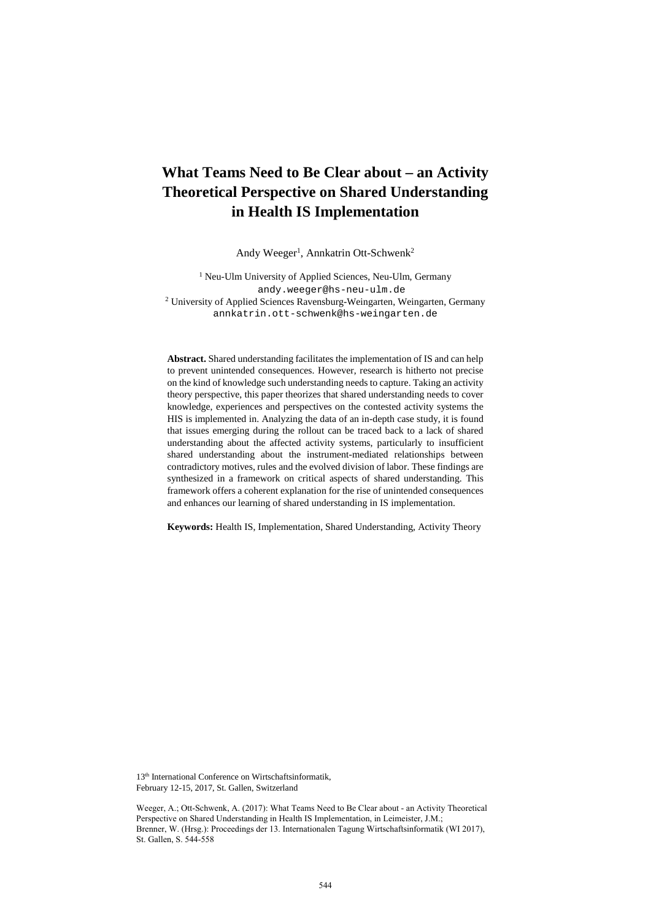# **What Teams Need to Be Clear about – an Activity Theoretical Perspective on Shared Understanding in Health IS Implementation**

Andy Weeger<sup>1</sup>, Annkatrin Ott-Schwenk<sup>2</sup>

<sup>1</sup> Neu-Ulm University of Applied Sciences, Neu-Ulm, Germany andy.weeger@hs-neu-ulm.de <sup>2</sup> University of Applied Sciences Ravensburg-Weingarten, Weingarten, Germany annkatrin.ott-schwenk@hs-weingarten.de

**Abstract.** Shared understanding facilitates the implementation of IS and can help to prevent unintended consequences. However, research is hitherto not precise on the kind of knowledge such understanding needs to capture. Taking an activity theory perspective, this paper theorizes that shared understanding needs to cover knowledge, experiences and perspectives on the contested activity systems the HIS is implemented in. Analyzing the data of an in-depth case study, it is found that issues emerging during the rollout can be traced back to a lack of shared understanding about the affected activity systems, particularly to insufficient shared understanding about the instrument-mediated relationships between contradictory motives, rules and the evolved division of labor. These findings are synthesized in a framework on critical aspects of shared understanding. This framework offers a coherent explanation for the rise of unintended consequences and enhances our learning of shared understanding in IS implementation.

**Keywords:** Health IS, Implementation, Shared Understanding, Activity Theory

13<sup>th</sup> International Conference on Wirtschaftsinformatik, February 12-15, 2017, St. Gallen, Switzerland

Weeger, A.; Ott-Schwenk, A. (2017): What Teams Need to Be Clear about - an Activity Theoretical<br>Perspective on Shared Understanding in Health IS Implementation, in Leimeister, J.M.;<br>Brenner, W. (Hrsg.): Proceedings der 13. Perspective on Shared Understanding in Health IS Implementation, in Leimeister, J.M.; Brenner, W. (Hrsg.): Proceedings der 13. Internationalen Tagung Wirtschaftsinformatik (WI 2017), St. Gallen, S. 544-558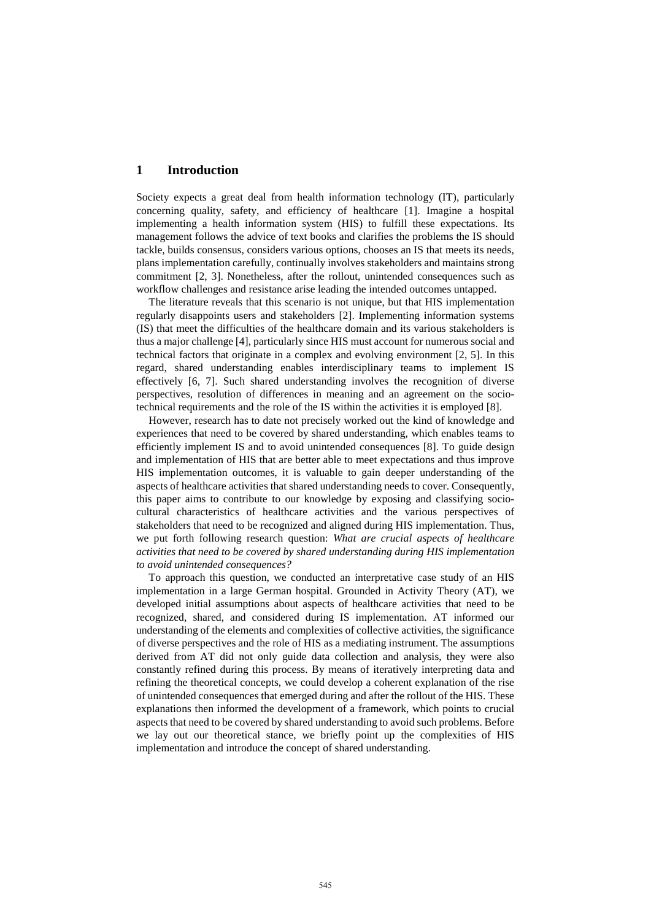## **1 Introduction**

Society expects a great deal from health information technology (IT), particularly concerning quality, safety, and efficiency of healthcare [1]. Imagine a hospital implementing a health information system (HIS) to fulfill these expectations. Its management follows the advice of text books and clarifies the problems the IS should tackle, builds consensus, considers various options, chooses an IS that meets its needs, plans implementation carefully, continually involves stakeholders and maintains strong commitment [2, 3]. Nonetheless, after the rollout, unintended consequences such as workflow challenges and resistance arise leading the intended outcomes untapped.

The literature reveals that this scenario is not unique, but that HIS implementation regularly disappoints users and stakeholders [2]. Implementing information systems (IS) that meet the difficulties of the healthcare domain and its various stakeholders is thus a major challenge [4], particularly since HIS must account for numerous social and technical factors that originate in a complex and evolving environment [2, 5]. In this regard, shared understanding enables interdisciplinary teams to implement IS effectively [6, 7]. Such shared understanding involves the recognition of diverse perspectives, resolution of differences in meaning and an agreement on the sociotechnical requirements and the role of the IS within the activities it is employed [8].

However, research has to date not precisely worked out the kind of knowledge and experiences that need to be covered by shared understanding, which enables teams to efficiently implement IS and to avoid unintended consequences [8]. To guide design and implementation of HIS that are better able to meet expectations and thus improve HIS implementation outcomes, it is valuable to gain deeper understanding of the aspects of healthcare activities that shared understanding needs to cover. Consequently, this paper aims to contribute to our knowledge by exposing and classifying sociocultural characteristics of healthcare activities and the various perspectives of stakeholders that need to be recognized and aligned during HIS implementation. Thus, we put forth following research question: *What are crucial aspects of healthcare activities that need to be covered by shared understanding during HIS implementation to avoid unintended consequences?*

To approach this question, we conducted an interpretative case study of an HIS implementation in a large German hospital. Grounded in Activity Theory (AT), we developed initial assumptions about aspects of healthcare activities that need to be recognized, shared, and considered during IS implementation. AT informed our understanding of the elements and complexities of collective activities, the significance of diverse perspectives and the role of HIS as a mediating instrument. The assumptions derived from AT did not only guide data collection and analysis, they were also constantly refined during this process. By means of iteratively interpreting data and refining the theoretical concepts, we could develop a coherent explanation of the rise of unintended consequences that emerged during and after the rollout of the HIS. These explanations then informed the development of a framework, which points to crucial aspects that need to be covered by shared understanding to avoid such problems. Before we lay out our theoretical stance, we briefly point up the complexities of HIS implementation and introduce the concept of shared understanding.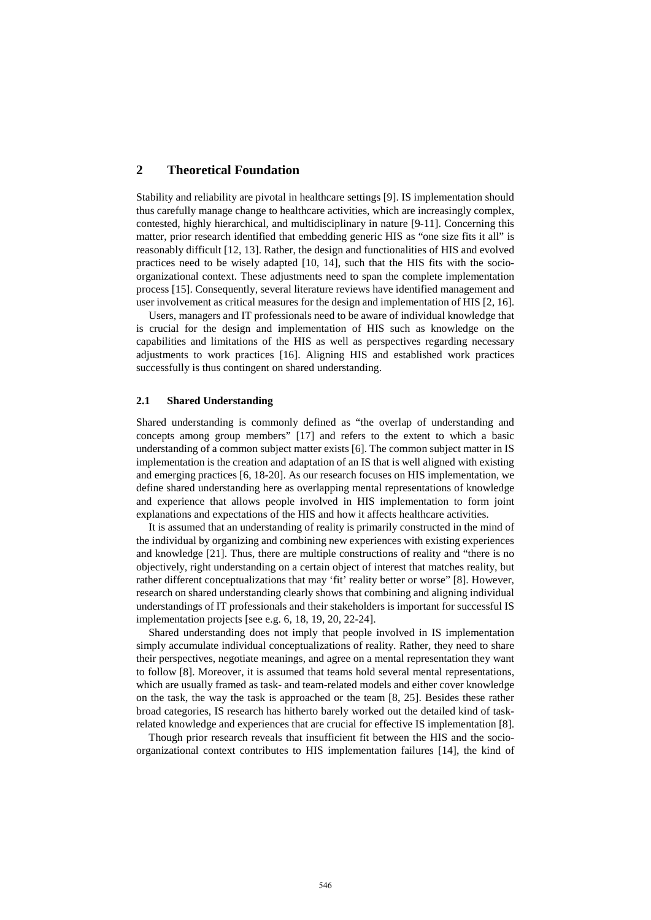# **2 Theoretical Foundation**

Stability and reliability are pivotal in healthcare settings [9]. IS implementation should thus carefully manage change to healthcare activities, which are increasingly complex, contested, highly hierarchical, and multidisciplinary in nature [9-11]. Concerning this matter, prior research identified that embedding generic HIS as "one size fits it all" is reasonably difficult [12, 13]. Rather, the design and functionalities of HIS and evolved practices need to be wisely adapted [10, 14], such that the HIS fits with the socioorganizational context. These adjustments need to span the complete implementation process [15]. Consequently, several literature reviews have identified management and user involvement as critical measures for the design and implementation of HIS [2, 16].

Users, managers and IT professionals need to be aware of individual knowledge that is crucial for the design and implementation of HIS such as knowledge on the capabilities and limitations of the HIS as well as perspectives regarding necessary adjustments to work practices [16]. Aligning HIS and established work practices successfully is thus contingent on shared understanding.

#### **2.1 Shared Understanding**

Shared understanding is commonly defined as "the overlap of understanding and concepts among group members" [17] and refers to the extent to which a basic understanding of a common subject matter exists [6]. The common subject matter in IS implementation is the creation and adaptation of an IS that is well aligned with existing and emerging practices [6, 18-20]. As our research focuses on HIS implementation, we define shared understanding here as overlapping mental representations of knowledge and experience that allows people involved in HIS implementation to form joint explanations and expectations of the HIS and how it affects healthcare activities.

It is assumed that an understanding of reality is primarily constructed in the mind of the individual by organizing and combining new experiences with existing experiences and knowledge [21]. Thus, there are multiple constructions of reality and "there is no objectively, right understanding on a certain object of interest that matches reality, but rather different conceptualizations that may 'fit' reality better or worse" [8]. However, research on shared understanding clearly shows that combining and aligning individual understandings of IT professionals and their stakeholders is important for successful IS implementation projects [see e.g. 6, 18, 19, 20, 22-24].

Shared understanding does not imply that people involved in IS implementation simply accumulate individual conceptualizations of reality. Rather, they need to share their perspectives, negotiate meanings, and agree on a mental representation they want to follow [8]. Moreover, it is assumed that teams hold several mental representations, which are usually framed as task- and team-related models and either cover knowledge on the task, the way the task is approached or the team [8, 25]. Besides these rather broad categories, IS research has hitherto barely worked out the detailed kind of taskrelated knowledge and experiences that are crucial for effective IS implementation [8].

Though prior research reveals that insufficient fit between the HIS and the socioorganizational context contributes to HIS implementation failures [14], the kind of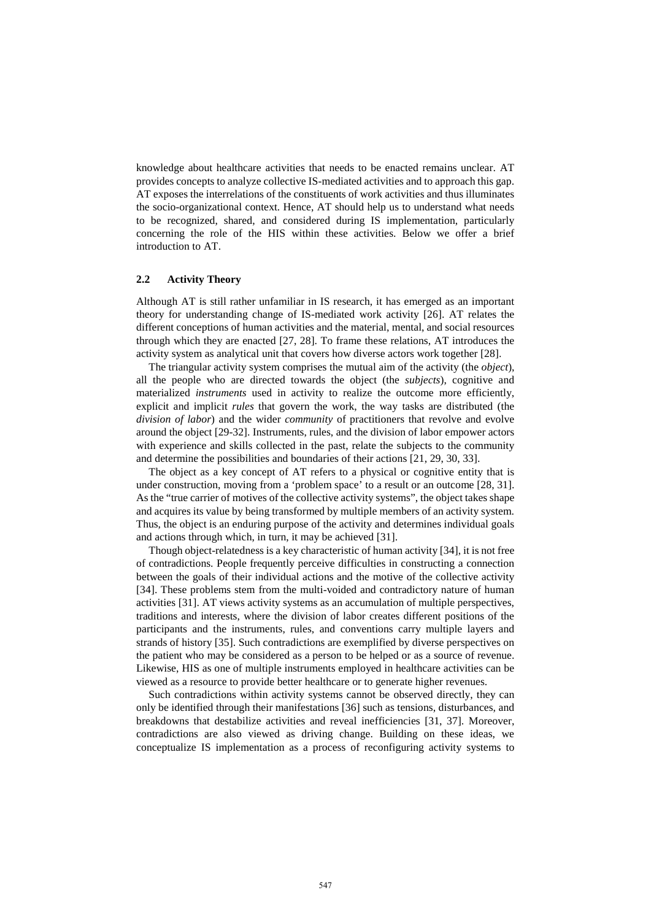knowledge about healthcare activities that needs to be enacted remains unclear. AT provides concepts to analyze collective IS-mediated activities and to approach this gap. AT exposes the interrelations of the constituents of work activities and thus illuminates the socio-organizational context. Hence, AT should help us to understand what needs to be recognized, shared, and considered during IS implementation, particularly concerning the role of the HIS within these activities. Below we offer a brief introduction to AT.

## **2.2 Activity Theory**

Although AT is still rather unfamiliar in IS research, it has emerged as an important theory for understanding change of IS-mediated work activity [26]. AT relates the different conceptions of human activities and the material, mental, and social resources through which they are enacted [27, 28]. To frame these relations, AT introduces the activity system as analytical unit that covers how diverse actors work together [28].

The triangular activity system comprises the mutual aim of the activity (the *object*), all the people who are directed towards the object (the *subjects*), cognitive and materialized *instruments* used in activity to realize the outcome more efficiently, explicit and implicit *rules* that govern the work, the way tasks are distributed (the *division of labor*) and the wider *community* of practitioners that revolve and evolve around the object [29-32]. Instruments, rules, and the division of labor empower actors with experience and skills collected in the past, relate the subjects to the community and determine the possibilities and boundaries of their actions [21, 29, 30, 33].

The object as a key concept of AT refers to a physical or cognitive entity that is under construction, moving from a 'problem space' to a result or an outcome [28, 31]. As the "true carrier of motives of the collective activity systems", the object takes shape and acquires its value by being transformed by multiple members of an activity system. Thus, the object is an enduring purpose of the activity and determines individual goals and actions through which, in turn, it may be achieved [31].

Though object-relatedness is a key characteristic of human activity [34], it is not free of contradictions. People frequently perceive difficulties in constructing a connection between the goals of their individual actions and the motive of the collective activity [34]. These problems stem from the multi-voided and contradictory nature of human activities [31]. AT views activity systems as an accumulation of multiple perspectives, traditions and interests, where the division of labor creates different positions of the participants and the instruments, rules, and conventions carry multiple layers and strands of history [35]. Such contradictions are exemplified by diverse perspectives on the patient who may be considered as a person to be helped or as a source of revenue. Likewise, HIS as one of multiple instruments employed in healthcare activities can be viewed as a resource to provide better healthcare or to generate higher revenues.

Such contradictions within activity systems cannot be observed directly, they can only be identified through their manifestations [36] such as tensions, disturbances, and breakdowns that destabilize activities and reveal inefficiencies [31, 37]. Moreover, contradictions are also viewed as driving change. Building on these ideas, we conceptualize IS implementation as a process of reconfiguring activity systems to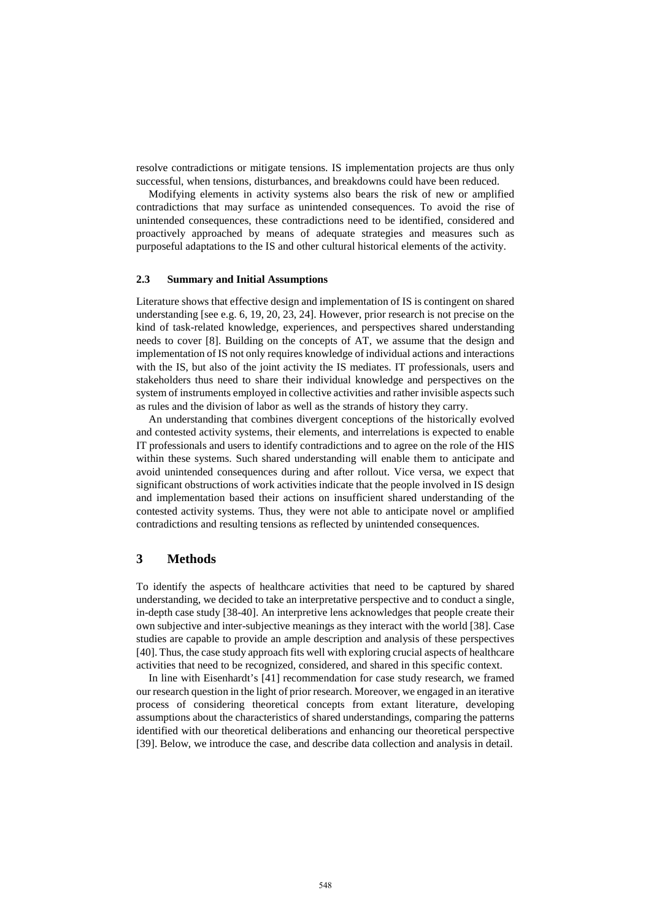resolve contradictions or mitigate tensions. IS implementation projects are thus only successful, when tensions, disturbances, and breakdowns could have been reduced.

Modifying elements in activity systems also bears the risk of new or amplified contradictions that may surface as unintended consequences. To avoid the rise of unintended consequences, these contradictions need to be identified, considered and proactively approached by means of adequate strategies and measures such as purposeful adaptations to the IS and other cultural historical elements of the activity.

## **2.3 Summary and Initial Assumptions**

Literature shows that effective design and implementation of IS is contingent on shared understanding [see e.g. 6, 19, 20, 23, 24]. However, prior research is not precise on the kind of task-related knowledge, experiences, and perspectives shared understanding needs to cover [8]. Building on the concepts of AT, we assume that the design and implementation of IS not only requires knowledge of individual actions and interactions with the IS, but also of the joint activity the IS mediates. IT professionals, users and stakeholders thus need to share their individual knowledge and perspectives on the system of instruments employed in collective activities and rather invisible aspects such as rules and the division of labor as well as the strands of history they carry.

An understanding that combines divergent conceptions of the historically evolved and contested activity systems, their elements, and interrelations is expected to enable IT professionals and users to identify contradictions and to agree on the role of the HIS within these systems. Such shared understanding will enable them to anticipate and avoid unintended consequences during and after rollout. Vice versa, we expect that significant obstructions of work activities indicate that the people involved in IS design and implementation based their actions on insufficient shared understanding of the contested activity systems. Thus, they were not able to anticipate novel or amplified contradictions and resulting tensions as reflected by unintended consequences.

## **3 Methods**

To identify the aspects of healthcare activities that need to be captured by shared understanding, we decided to take an interpretative perspective and to conduct a single, in-depth case study [38-40]. An interpretive lens acknowledges that people create their own subjective and inter-subjective meanings as they interact with the world [38]. Case studies are capable to provide an ample description and analysis of these perspectives [40]. Thus, the case study approach fits well with exploring crucial aspects of healthcare activities that need to be recognized, considered, and shared in this specific context.

In line with Eisenhardt's [41] recommendation for case study research, we framed our research question in the light of prior research. Moreover, we engaged in an iterative process of considering theoretical concepts from extant literature, developing assumptions about the characteristics of shared understandings, comparing the patterns identified with our theoretical deliberations and enhancing our theoretical perspective [39]. Below, we introduce the case, and describe data collection and analysis in detail.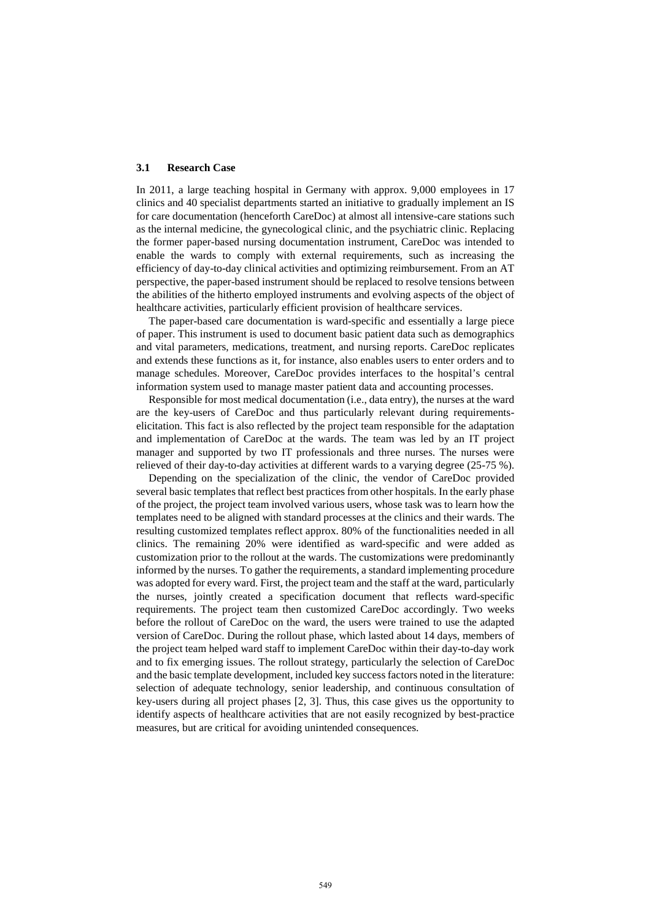#### **3.1 Research Case**

In 2011, a large teaching hospital in Germany with approx. 9,000 employees in 17 clinics and 40 specialist departments started an initiative to gradually implement an IS for care documentation (henceforth CareDoc) at almost all intensive-care stations such as the internal medicine, the gynecological clinic, and the psychiatric clinic. Replacing the former paper-based nursing documentation instrument, CareDoc was intended to enable the wards to comply with external requirements, such as increasing the efficiency of day-to-day clinical activities and optimizing reimbursement. From an AT perspective, the paper-based instrument should be replaced to resolve tensions between the abilities of the hitherto employed instruments and evolving aspects of the object of healthcare activities, particularly efficient provision of healthcare services.

The paper-based care documentation is ward-specific and essentially a large piece of paper. This instrument is used to document basic patient data such as demographics and vital parameters, medications, treatment, and nursing reports. CareDoc replicates and extends these functions as it, for instance, also enables users to enter orders and to manage schedules. Moreover, CareDoc provides interfaces to the hospital's central information system used to manage master patient data and accounting processes.

Responsible for most medical documentation (i.e., data entry), the nurses at the ward are the key-users of CareDoc and thus particularly relevant during requirementselicitation. This fact is also reflected by the project team responsible for the adaptation and implementation of CareDoc at the wards. The team was led by an IT project manager and supported by two IT professionals and three nurses. The nurses were relieved of their day-to-day activities at different wards to a varying degree (25-75 %).

Depending on the specialization of the clinic, the vendor of CareDoc provided several basic templates that reflect best practices from other hospitals. In the early phase of the project, the project team involved various users, whose task was to learn how the templates need to be aligned with standard processes at the clinics and their wards. The resulting customized templates reflect approx. 80% of the functionalities needed in all clinics. The remaining 20% were identified as ward-specific and were added as customization prior to the rollout at the wards. The customizations were predominantly informed by the nurses. To gather the requirements, a standard implementing procedure was adopted for every ward. First, the project team and the staff at the ward, particularly the nurses, jointly created a specification document that reflects ward-specific requirements. The project team then customized CareDoc accordingly. Two weeks before the rollout of CareDoc on the ward, the users were trained to use the adapted version of CareDoc. During the rollout phase, which lasted about 14 days, members of the project team helped ward staff to implement CareDoc within their day-to-day work and to fix emerging issues. The rollout strategy, particularly the selection of CareDoc and the basic template development, included key success factors noted in the literature: selection of adequate technology, senior leadership, and continuous consultation of key-users during all project phases [2, 3]. Thus, this case gives us the opportunity to identify aspects of healthcare activities that are not easily recognized by best-practice measures, but are critical for avoiding unintended consequences.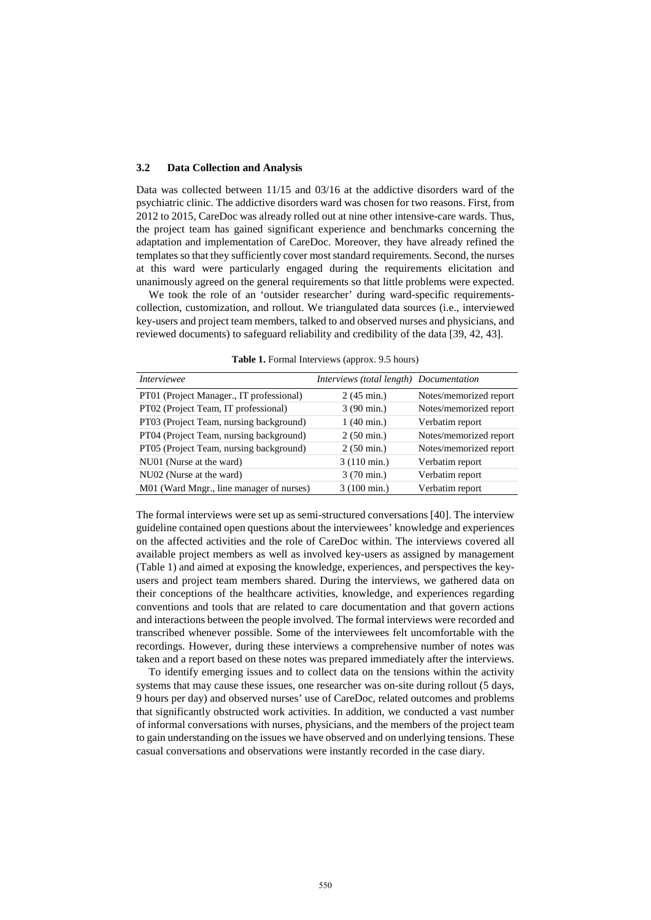#### **3.2 Data Collection and Analysis**

Data was collected between 11/15 and 03/16 at the addictive disorders ward of the psychiatric clinic. The addictive disorders ward was chosen for two reasons. First, from 2012 to 2015, CareDoc was already rolled out at nine other intensive-care wards. Thus, the project team has gained significant experience and benchmarks concerning the adaptation and implementation of CareDoc. Moreover, they have already refined the templates so that they sufficiently cover most standard requirements. Second, the nurses at this ward were particularly engaged during the requirements elicitation and unanimously agreed on the general requirements so that little problems were expected.

We took the role of an 'outsider researcher' during ward-specific requirementscollection, customization, and rollout. We triangulated data sources (i.e., interviewed key-users and project team members, talked to and observed nurses and physicians, and reviewed documents) to safeguard reliability and credibility of the data [39, 42, 43].

| <i>Interviewee</i>                       | Interviews (total length) Documentation |                        |
|------------------------------------------|-----------------------------------------|------------------------|
| PT01 (Project Manager., IT professional) | $2(45 \text{ min.})$                    | Notes/memorized report |
| PT02 (Project Team, IT professional)     | $3(90 \text{ min.})$                    | Notes/memorized report |
| PT03 (Project Team, nursing background)  | $1(40 \text{ min.})$                    | Verbatim report        |
| PT04 (Project Team, nursing background)  | $2(50 \text{ min.})$                    | Notes/memorized report |
| PT05 (Project Team, nursing background)  | $2(50 \text{ min.})$                    | Notes/memorized report |
| NU01 (Nurse at the ward)                 | $3(110 \text{ min.})$                   | Verbatim report        |
| NU02 (Nurse at the ward)                 | 3 (70 min.)                             | Verbatim report        |
| M01 (Ward Mngr., line manager of nurses) | $3(100 \text{ min.})$                   | Verbatim report        |

**Table 1.** Formal Interviews (approx. 9.5 hours)

The formal interviews were set up as semi-structured conversations [40]. The interview guideline contained open questions about the interviewees' knowledge and experiences on the affected activities and the role of CareDoc within. The interviews covered all available project members as well as involved key-users as assigned by management (Table 1) and aimed at exposing the knowledge, experiences, and perspectives the keyusers and project team members shared. During the interviews, we gathered data on their conceptions of the healthcare activities, knowledge, and experiences regarding conventions and tools that are related to care documentation and that govern actions and interactions between the people involved. The formal interviews were recorded and transcribed whenever possible. Some of the interviewees felt uncomfortable with the recordings. However, during these interviews a comprehensive number of notes was taken and a report based on these notes was prepared immediately after the interviews.

To identify emerging issues and to collect data on the tensions within the activity systems that may cause these issues, one researcher was on-site during rollout (5 days, 9 hours per day) and observed nurses' use of CareDoc, related outcomes and problems that significantly obstructed work activities. In addition, we conducted a vast number of informal conversations with nurses, physicians, and the members of the project team to gain understanding on the issues we have observed and on underlying tensions. These casual conversations and observations were instantly recorded in the case diary.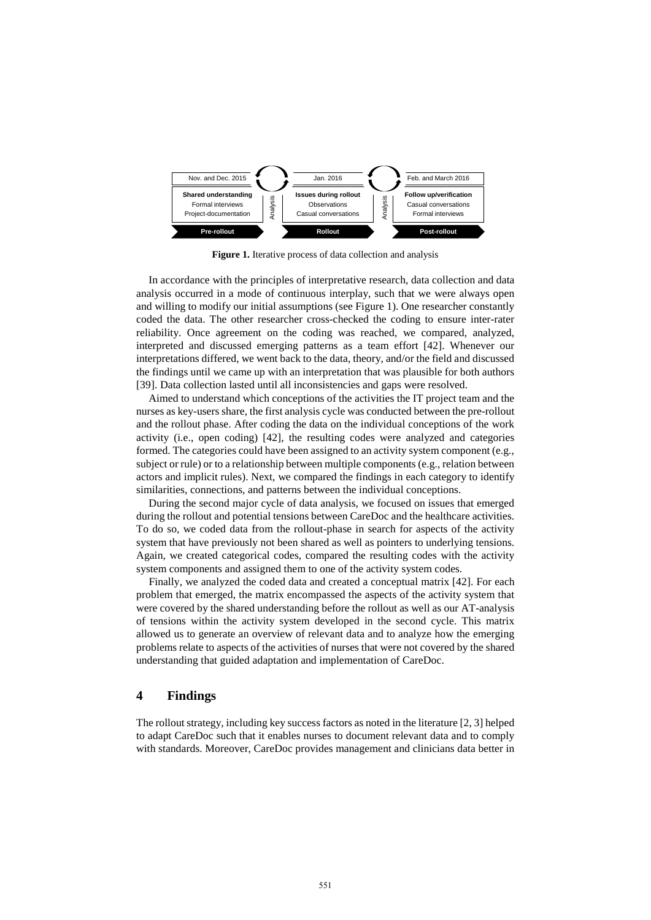

**Figure 1.** Iterative process of data collection and analysis

In accordance with the principles of interpretative research, data collection and data analysis occurred in a mode of continuous interplay, such that we were always open and willing to modify our initial assumptions (see Figure 1). One researcher constantly coded the data. The other researcher cross-checked the coding to ensure inter-rater reliability. Once agreement on the coding was reached, we compared, analyzed, interpreted and discussed emerging patterns as a team effort [42]. Whenever our interpretations differed, we went back to the data, theory, and/or the field and discussed the findings until we came up with an interpretation that was plausible for both authors [39]. Data collection lasted until all inconsistencies and gaps were resolved.

Aimed to understand which conceptions of the activities the IT project team and the nurses as key-users share, the first analysis cycle was conducted between the pre-rollout and the rollout phase. After coding the data on the individual conceptions of the work activity (i.e., open coding) [42], the resulting codes were analyzed and categories formed. The categories could have been assigned to an activity system component (e.g., subject or rule) or to a relationship between multiple components (e.g., relation between actors and implicit rules). Next, we compared the findings in each category to identify similarities, connections, and patterns between the individual conceptions.

During the second major cycle of data analysis, we focused on issues that emerged during the rollout and potential tensions between CareDoc and the healthcare activities. To do so, we coded data from the rollout-phase in search for aspects of the activity system that have previously not been shared as well as pointers to underlying tensions. Again, we created categorical codes, compared the resulting codes with the activity system components and assigned them to one of the activity system codes.

Finally, we analyzed the coded data and created a conceptual matrix [42]. For each problem that emerged, the matrix encompassed the aspects of the activity system that were covered by the shared understanding before the rollout as well as our AT-analysis of tensions within the activity system developed in the second cycle. This matrix allowed us to generate an overview of relevant data and to analyze how the emerging problems relate to aspects of the activities of nurses that were not covered by the shared understanding that guided adaptation and implementation of CareDoc.

## **4 Findings**

The rollout strategy, including key success factors as noted in the literature [2, 3] helped to adapt CareDoc such that it enables nurses to document relevant data and to comply with standards. Moreover, CareDoc provides management and clinicians data better in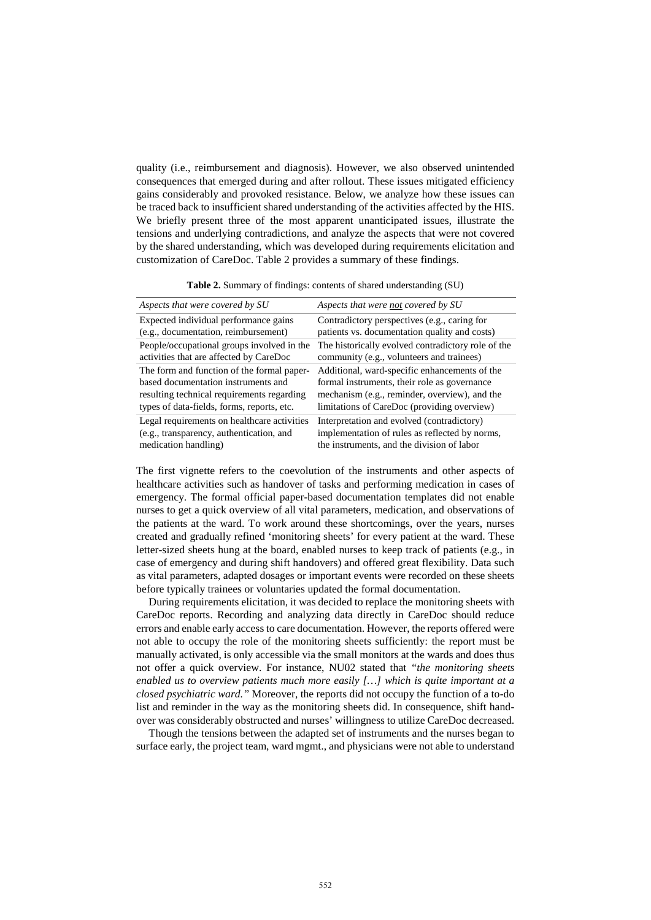quality (i.e., reimbursement and diagnosis). However, we also observed unintended consequences that emerged during and after rollout. These issues mitigated efficiency gains considerably and provoked resistance. Below, we analyze how these issues can be traced back to insufficient shared understanding of the activities affected by the HIS. We briefly present three of the most apparent unanticipated issues, illustrate the tensions and underlying contradictions, and analyze the aspects that were not covered by the shared understanding, which was developed during requirements elicitation and customization of CareDoc. Table 2 provides a summary of these findings.

**Table 2.** Summary of findings: contents of shared understanding (SU)

| Aspects that were covered by SU             | Aspects that were not covered by SU                |
|---------------------------------------------|----------------------------------------------------|
| Expected individual performance gains       | Contradictory perspectives (e.g., caring for       |
| (e.g., documentation, reimbursement)        | patients vs. documentation quality and costs)      |
| People/occupational groups involved in the  | The historically evolved contradictory role of the |
| activities that are affected by CareDoc     | community (e.g., volunteers and trainees)          |
| The form and function of the formal paper-  | Additional, ward-specific enhancements of the      |
| based documentation instruments and         | formal instruments, their role as governance       |
| resulting technical requirements regarding  | mechanism (e.g., reminder, overview), and the      |
| types of data-fields, forms, reports, etc.  | limitations of CareDoc (providing overview)        |
| Legal requirements on healthcare activities | Interpretation and evolved (contradictory)         |
| (e.g., transparency, authentication, and    | implementation of rules as reflected by norms,     |
| medication handling)                        | the instruments, and the division of labor         |

The first vignette refers to the coevolution of the instruments and other aspects of healthcare activities such as handover of tasks and performing medication in cases of emergency. The formal official paper-based documentation templates did not enable nurses to get a quick overview of all vital parameters, medication, and observations of the patients at the ward. To work around these shortcomings, over the years, nurses created and gradually refined 'monitoring sheets' for every patient at the ward. These letter-sized sheets hung at the board, enabled nurses to keep track of patients (e.g., in case of emergency and during shift handovers) and offered great flexibility. Data such as vital parameters, adapted dosages or important events were recorded on these sheets before typically trainees or voluntaries updated the formal documentation.

During requirements elicitation, it was decided to replace the monitoring sheets with CareDoc reports. Recording and analyzing data directly in CareDoc should reduce errors and enable early access to care documentation. However, the reports offered were not able to occupy the role of the monitoring sheets sufficiently: the report must be manually activated, is only accessible via the small monitors at the wards and does thus not offer a quick overview. For instance, NU02 stated that *"the monitoring sheets enabled us to overview patients much more easily […] which is quite important at a closed psychiatric ward."* Moreover, the reports did not occupy the function of a to-do list and reminder in the way as the monitoring sheets did. In consequence, shift handover was considerably obstructed and nurses' willingness to utilize CareDoc decreased.

Though the tensions between the adapted set of instruments and the nurses began to surface early, the project team, ward mgmt., and physicians were not able to understand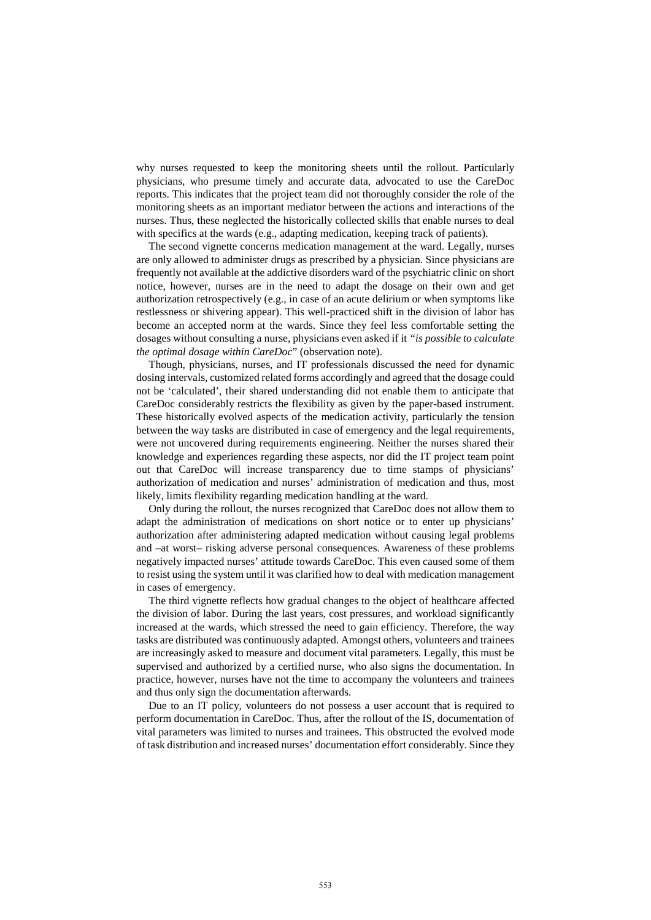why nurses requested to keep the monitoring sheets until the rollout. Particularly physicians, who presume timely and accurate data, advocated to use the CareDoc reports. This indicates that the project team did not thoroughly consider the role of the monitoring sheets as an important mediator between the actions and interactions of the nurses. Thus, these neglected the historically collected skills that enable nurses to deal with specifics at the wards (e.g., adapting medication, keeping track of patients).

The second vignette concerns medication management at the ward. Legally, nurses are only allowed to administer drugs as prescribed by a physician. Since physicians are frequently not available at the addictive disorders ward of the psychiatric clinic on short notice, however, nurses are in the need to adapt the dosage on their own and get authorization retrospectively (e.g., in case of an acute delirium or when symptoms like restlessness or shivering appear). This well-practiced shift in the division of labor has become an accepted norm at the wards. Since they feel less comfortable setting the dosages without consulting a nurse, physicians even asked if it *"is possible to calculate the optimal dosage within CareDoc*" (observation note).

Though, physicians, nurses, and IT professionals discussed the need for dynamic dosing intervals, customized related forms accordingly and agreed that the dosage could not be 'calculated', their shared understanding did not enable them to anticipate that CareDoc considerably restricts the flexibility as given by the paper-based instrument. These historically evolved aspects of the medication activity, particularly the tension between the way tasks are distributed in case of emergency and the legal requirements, were not uncovered during requirements engineering. Neither the nurses shared their knowledge and experiences regarding these aspects, nor did the IT project team point out that CareDoc will increase transparency due to time stamps of physicians' authorization of medication and nurses' administration of medication and thus, most likely, limits flexibility regarding medication handling at the ward.

Only during the rollout, the nurses recognized that CareDoc does not allow them to adapt the administration of medications on short notice or to enter up physicians' authorization after administering adapted medication without causing legal problems and –at worst– risking adverse personal consequences. Awareness of these problems negatively impacted nurses' attitude towards CareDoc. This even caused some of them to resist using the system until it was clarified how to deal with medication management in cases of emergency.

The third vignette reflects how gradual changes to the object of healthcare affected the division of labor. During the last years, cost pressures, and workload significantly increased at the wards, which stressed the need to gain efficiency. Therefore, the way tasks are distributed was continuously adapted. Amongst others, volunteers and trainees are increasingly asked to measure and document vital parameters. Legally, this must be supervised and authorized by a certified nurse, who also signs the documentation. In practice, however, nurses have not the time to accompany the volunteers and trainees and thus only sign the documentation afterwards.

Due to an IT policy, volunteers do not possess a user account that is required to perform documentation in CareDoc. Thus, after the rollout of the IS, documentation of vital parameters was limited to nurses and trainees. This obstructed the evolved mode of task distribution and increased nurses' documentation effort considerably. Since they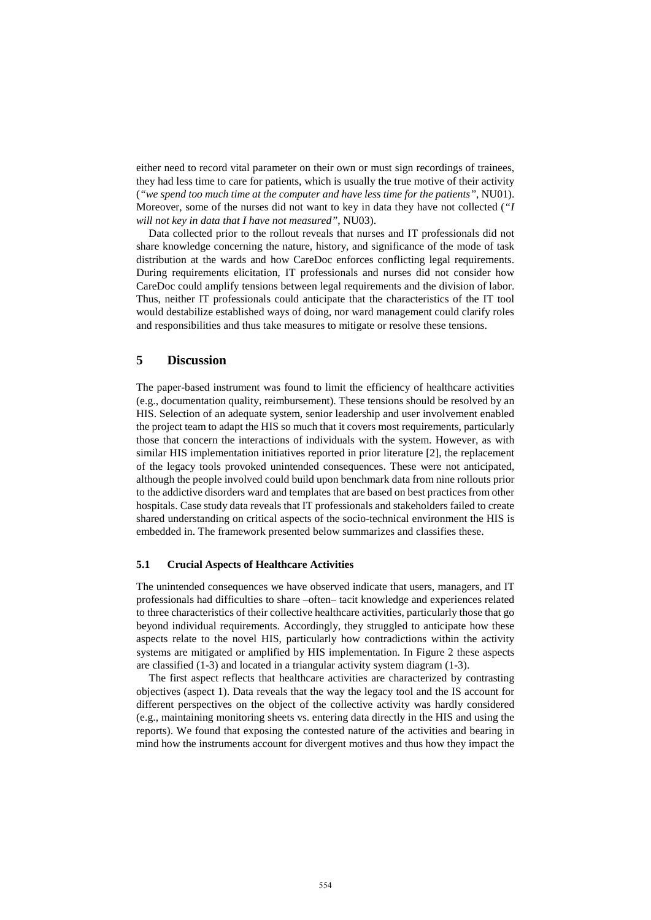either need to record vital parameter on their own or must sign recordings of trainees, they had less time to care for patients, which is usually the true motive of their activity (*"we spend too much time at the computer and have less time for the patients"*, NU01). Moreover, some of the nurses did not want to key in data they have not collected (*"I will not key in data that I have not measured"*, NU03).

Data collected prior to the rollout reveals that nurses and IT professionals did not share knowledge concerning the nature, history, and significance of the mode of task distribution at the wards and how CareDoc enforces conflicting legal requirements. During requirements elicitation, IT professionals and nurses did not consider how CareDoc could amplify tensions between legal requirements and the division of labor. Thus, neither IT professionals could anticipate that the characteristics of the IT tool would destabilize established ways of doing, nor ward management could clarify roles and responsibilities and thus take measures to mitigate or resolve these tensions.

## **5 Discussion**

The paper-based instrument was found to limit the efficiency of healthcare activities (e.g., documentation quality, reimbursement). These tensions should be resolved by an HIS. Selection of an adequate system, senior leadership and user involvement enabled the project team to adapt the HIS so much that it covers most requirements, particularly those that concern the interactions of individuals with the system. However, as with similar HIS implementation initiatives reported in prior literature [2], the replacement of the legacy tools provoked unintended consequences. These were not anticipated, although the people involved could build upon benchmark data from nine rollouts prior to the addictive disorders ward and templates that are based on best practices from other hospitals. Case study data reveals that IT professionals and stakeholders failed to create shared understanding on critical aspects of the socio-technical environment the HIS is embedded in. The framework presented below summarizes and classifies these.

#### **5.1 Crucial Aspects of Healthcare Activities**

The unintended consequences we have observed indicate that users, managers, and IT professionals had difficulties to share –often– tacit knowledge and experiences related to three characteristics of their collective healthcare activities, particularly those that go beyond individual requirements. Accordingly, they struggled to anticipate how these aspects relate to the novel HIS, particularly how contradictions within the activity systems are mitigated or amplified by HIS implementation. In Figure 2 these aspects are classified (1-3) and located in a triangular activity system diagram (1-3).

The first aspect reflects that healthcare activities are characterized by contrasting objectives (aspect 1). Data reveals that the way the legacy tool and the IS account for different perspectives on the object of the collective activity was hardly considered (e.g., maintaining monitoring sheets vs. entering data directly in the HIS and using the reports). We found that exposing the contested nature of the activities and bearing in mind how the instruments account for divergent motives and thus how they impact the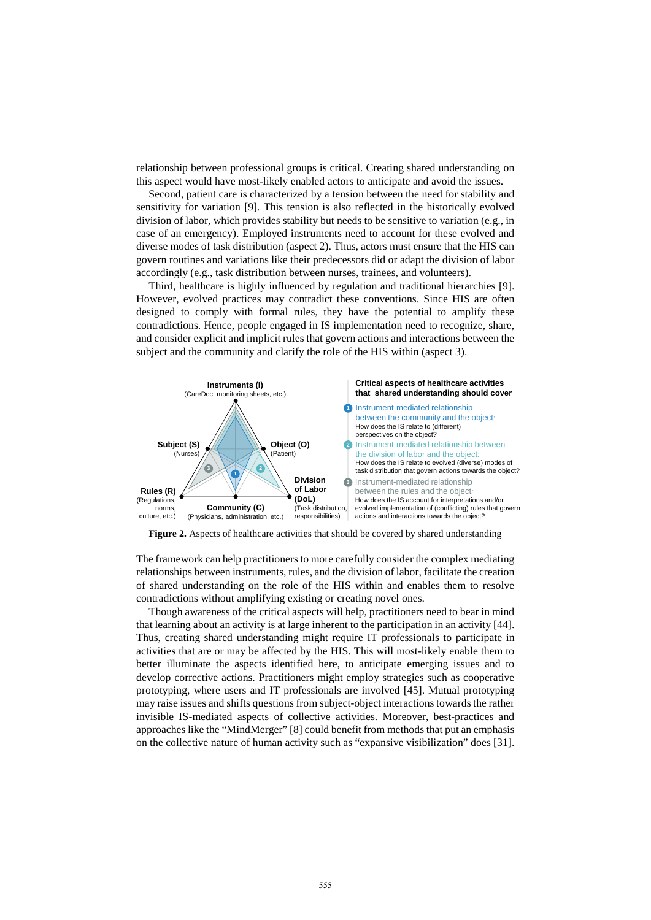relationship between professional groups is critical. Creating shared understanding on this aspect would have most-likely enabled actors to anticipate and avoid the issues.

Second, patient care is characterized by a tension between the need for stability and sensitivity for variation [9]. This tension is also reflected in the historically evolved division of labor, which provides stability but needs to be sensitive to variation (e.g., in case of an emergency). Employed instruments need to account for these evolved and diverse modes of task distribution (aspect 2). Thus, actors must ensure that the HIS can govern routines and variations like their predecessors did or adapt the division of labor accordingly (e.g., task distribution between nurses, trainees, and volunteers).

Third, healthcare is highly influenced by regulation and traditional hierarchies [9]. However, evolved practices may contradict these conventions. Since HIS are often designed to comply with formal rules, they have the potential to amplify these contradictions. Hence, people engaged in IS implementation need to recognize, share, and consider explicit and implicit rules that govern actions and interactions between the subject and the community and clarify the role of the HIS within (aspect 3).



**Figure 2.** Aspects of healthcare activities that should be covered by shared understanding

The framework can help practitioners to more carefully consider the complex mediating relationships between instruments, rules, and the division of labor, facilitate the creation of shared understanding on the role of the HIS within and enables them to resolve contradictions without amplifying existing or creating novel ones.

Though awareness of the critical aspects will help, practitioners need to bear in mind that learning about an activity is at large inherent to the participation in an activity [44]. Thus, creating shared understanding might require IT professionals to participate in activities that are or may be affected by the HIS. This will most-likely enable them to better illuminate the aspects identified here, to anticipate emerging issues and to develop corrective actions. Practitioners might employ strategies such as cooperative prototyping, where users and IT professionals are involved [45]. Mutual prototyping may raise issues and shifts questions from subject-object interactions towards the rather invisible IS-mediated aspects of collective activities. Moreover, best-practices and approaches like the "MindMerger" [8] could benefit from methods that put an emphasis on the collective nature of human activity such as "expansive visibilization" does [31].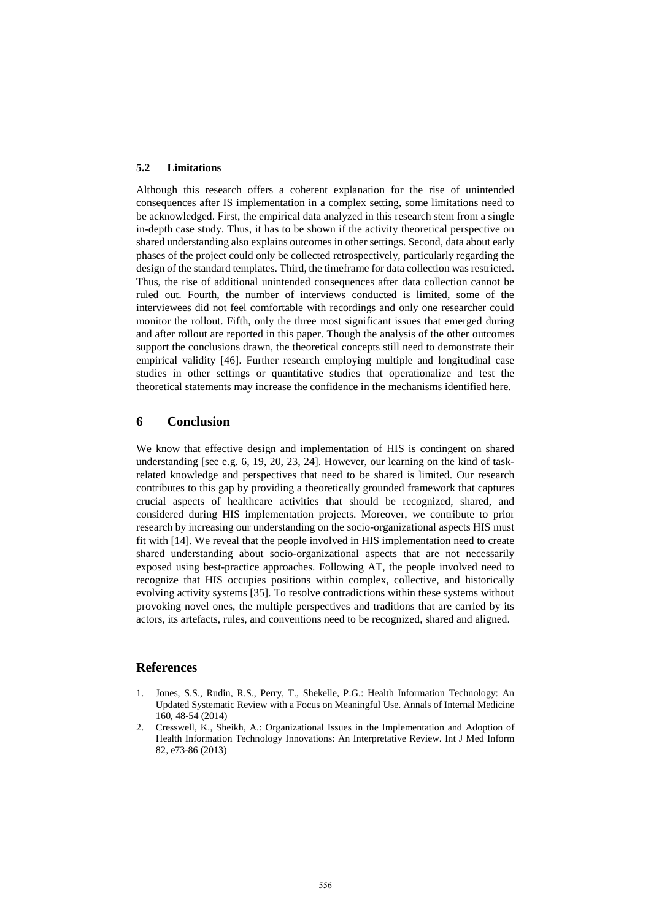#### **5.2 Limitations**

Although this research offers a coherent explanation for the rise of unintended consequences after IS implementation in a complex setting, some limitations need to be acknowledged. First, the empirical data analyzed in this research stem from a single in-depth case study. Thus, it has to be shown if the activity theoretical perspective on shared understanding also explains outcomes in other settings. Second, data about early phases of the project could only be collected retrospectively, particularly regarding the design of the standard templates. Third, the timeframe for data collection was restricted. Thus, the rise of additional unintended consequences after data collection cannot be ruled out. Fourth, the number of interviews conducted is limited, some of the interviewees did not feel comfortable with recordings and only one researcher could monitor the rollout. Fifth, only the three most significant issues that emerged during and after rollout are reported in this paper. Though the analysis of the other outcomes support the conclusions drawn, the theoretical concepts still need to demonstrate their empirical validity [46]. Further research employing multiple and longitudinal case studies in other settings or quantitative studies that operationalize and test the theoretical statements may increase the confidence in the mechanisms identified here.

## **6 Conclusion**

We know that effective design and implementation of HIS is contingent on shared understanding [see e.g. 6, 19, 20, 23, 24]. However, our learning on the kind of taskrelated knowledge and perspectives that need to be shared is limited. Our research contributes to this gap by providing a theoretically grounded framework that captures crucial aspects of healthcare activities that should be recognized, shared, and considered during HIS implementation projects. Moreover, we contribute to prior research by increasing our understanding on the socio-organizational aspects HIS must fit with [14]. We reveal that the people involved in HIS implementation need to create shared understanding about socio-organizational aspects that are not necessarily exposed using best-practice approaches. Following AT, the people involved need to recognize that HIS occupies positions within complex, collective, and historically evolving activity systems [35]. To resolve contradictions within these systems without provoking novel ones, the multiple perspectives and traditions that are carried by its actors, its artefacts, rules, and conventions need to be recognized, shared and aligned.

## **References**

- 1. Jones, S.S., Rudin, R.S., Perry, T., Shekelle, P.G.: Health Information Technology: An Updated Systematic Review with a Focus on Meaningful Use. Annals of Internal Medicine 160, 48-54 (2014)
- 2. Cresswell, K., Sheikh, A.: Organizational Issues in the Implementation and Adoption of Health Information Technology Innovations: An Interpretative Review. Int J Med Inform 82, e73-86 (2013)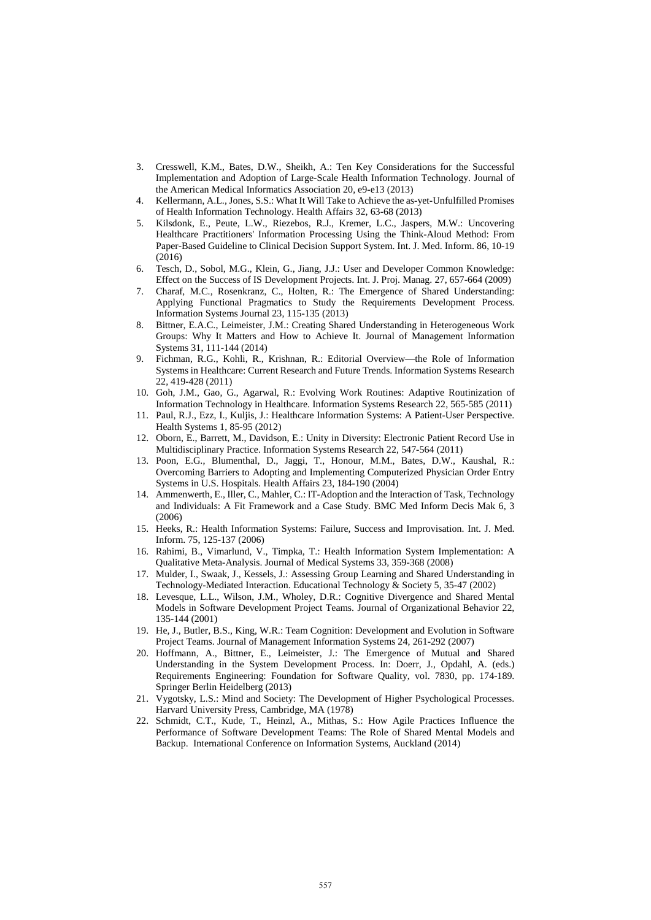- 3. Cresswell, K.M., Bates, D.W., Sheikh, A.: Ten Key Considerations for the Successful Implementation and Adoption of Large-Scale Health Information Technology. Journal of the American Medical Informatics Association 20, e9-e13 (2013)
- 4. Kellermann, A.L., Jones, S.S.: What It Will Take to Achieve the as-yet-Unfulfilled Promises of Health Information Technology. Health Affairs 32, 63-68 (2013)
- 5. Kilsdonk, E., Peute, L.W., Riezebos, R.J., Kremer, L.C., Jaspers, M.W.: Uncovering Healthcare Practitioners' Information Processing Using the Think-Aloud Method: From Paper-Based Guideline to Clinical Decision Support System. Int. J. Med. Inform. 86, 10-19 (2016)
- 6. Tesch, D., Sobol, M.G., Klein, G., Jiang, J.J.: User and Developer Common Knowledge: Effect on the Success of IS Development Projects. Int. J. Proj. Manag. 27, 657-664 (2009)
- 7. Charaf, M.C., Rosenkranz, C., Holten, R.: The Emergence of Shared Understanding: Applying Functional Pragmatics to Study the Requirements Development Process. Information Systems Journal 23, 115-135 (2013)
- 8. Bittner, E.A.C., Leimeister, J.M.: Creating Shared Understanding in Heterogeneous Work Groups: Why It Matters and How to Achieve It. Journal of Management Information Systems 31, 111-144 (2014)
- 9. Fichman, R.G., Kohli, R., Krishnan, R.: Editorial Overview—the Role of Information Systems in Healthcare: Current Research and Future Trends. Information Systems Research 22, 419-428 (2011)
- 10. Goh, J.M., Gao, G., Agarwal, R.: Evolving Work Routines: Adaptive Routinization of Information Technology in Healthcare. Information Systems Research 22, 565-585 (2011)
- 11. Paul, R.J., Ezz, I., Kuljis, J.: Healthcare Information Systems: A Patient-User Perspective. Health Systems 1, 85-95 (2012)
- 12. Oborn, E., Barrett, M., Davidson, E.: Unity in Diversity: Electronic Patient Record Use in Multidisciplinary Practice. Information Systems Research 22, 547-564 (2011)
- 13. Poon, E.G., Blumenthal, D., Jaggi, T., Honour, M.M., Bates, D.W., Kaushal, R.: Overcoming Barriers to Adopting and Implementing Computerized Physician Order Entry Systems in U.S. Hospitals. Health Affairs 23, 184-190 (2004)
- 14. Ammenwerth, E., Iller, C., Mahler, C.: IT-Adoption and the Interaction of Task, Technology and Individuals: A Fit Framework and a Case Study. BMC Med Inform Decis Mak 6, 3 (2006)
- 15. Heeks, R.: Health Information Systems: Failure, Success and Improvisation. Int. J. Med. Inform. 75, 125-137 (2006)
- 16. Rahimi, B., Vimarlund, V., Timpka, T.: Health Information System Implementation: A Qualitative Meta-Analysis. Journal of Medical Systems 33, 359-368 (2008)
- 17. Mulder, I., Swaak, J., Kessels, J.: Assessing Group Learning and Shared Understanding in Technology-Mediated Interaction. Educational Technology & Society 5, 35-47 (2002)
- 18. Levesque, L.L., Wilson, J.M., Wholey, D.R.: Cognitive Divergence and Shared Mental Models in Software Development Project Teams. Journal of Organizational Behavior 22, 135-144 (2001)
- 19. He, J., Butler, B.S., King, W.R.: Team Cognition: Development and Evolution in Software Project Teams. Journal of Management Information Systems 24, 261-292 (2007)
- 20. Hoffmann, A., Bittner, E., Leimeister, J.: The Emergence of Mutual and Shared Understanding in the System Development Process. In: Doerr, J., Opdahl, A. (eds.) Requirements Engineering: Foundation for Software Quality, vol. 7830, pp. 174-189. Springer Berlin Heidelberg (2013)
- 21. Vygotsky, L.S.: Mind and Society: The Development of Higher Psychological Processes. Harvard University Press, Cambridge, MA (1978)
- 22. Schmidt, C.T., Kude, T., Heinzl, A., Mithas, S.: How Agile Practices Influence the Performance of Software Development Teams: The Role of Shared Mental Models and Backup. International Conference on Information Systems, Auckland (2014)